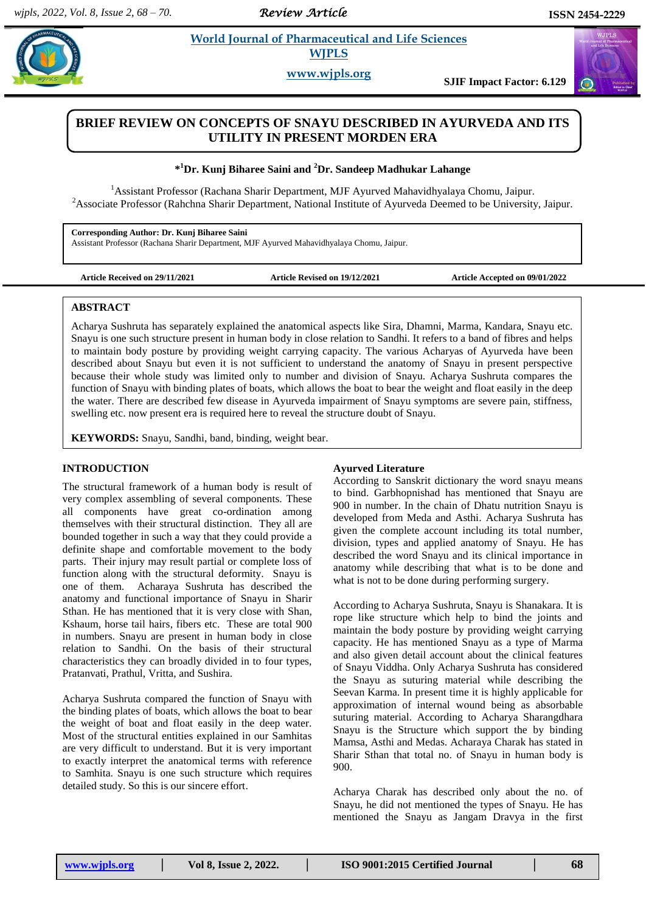*Review Article* 

# **Example 3** *Euclid* **Journal of Pharmaceutical and Life Sciences <b>***Conservers* **WJPLS**

**www.wjpls.org**

**SJIF Impact Factor: 6.129**

# **BRIEF REVIEW ON CONCEPTS OF SNAYU DESCRIBED IN AYURVEDA AND ITS UTILITY IN PRESENT MORDEN ERA**

## **\* <sup>1</sup>Dr. Kunj Biharee Saini and <sup>2</sup>Dr. Sandeep Madhukar Lahange**

<sup>1</sup>Assistant Professor (Rachana Sharir Department, MJF Ayurved Mahavidhyalaya Chomu, Jaipur. <sup>2</sup>Associate Professor (Rahchna Sharir Department, National Institute of Ayurveda Deemed to be University, Jaipur.

**Corresponding Author: Dr. Kunj Biharee Saini** Assistant Professor (Rachana Sharir Department, MJF Ayurved Mahavidhyalaya Chomu, Jaipur.

**Article Received on 29/11/2021 Article Revised on 19/12/2021 Article Accepted on 09/01/2022**

### **ABSTRACT**

Acharya Sushruta has separately explained the anatomical aspects like Sira, Dhamni, Marma, Kandara, Snayu etc. Snayu is one such structure present in human body in close relation to Sandhi. It refers to a band of fibres and helps to maintain body posture by providing weight carrying capacity. The various Acharyas of Ayurveda have been described about Snayu but even it is not sufficient to understand the anatomy of Snayu in present perspective because their whole study was limited only to number and division of Snayu. Acharya Sushruta compares the function of Snayu with binding plates of boats, which allows the boat to bear the weight and float easily in the deep the water. There are described few disease in Ayurveda impairment of Snayu symptoms are severe pain, stiffness, swelling etc. now present era is required here to reveal the structure doubt of Snayu.

**KEYWORDS:** Snayu, Sandhi, band, binding, weight bear.

### **INTRODUCTION**

The structural framework of a human body is result of very complex assembling of several components. These all components have great co-ordination among themselves with their structural distinction. They all are bounded together in such a way that they could provide a definite shape and comfortable movement to the body parts. Their injury may result partial or complete loss of function along with the structural deformity. Snayu is one of them. Acharaya Sushruta has described the anatomy and functional importance of Snayu in Sharir Sthan. He has mentioned that it is very close with Shan, Kshaum, horse tail hairs, fibers etc. These are total 900 in numbers. Snayu are present in human body in close relation to Sandhi. On the basis of their structural characteristics they can broadly divided in to four types, Pratanvati, Prathul, Vritta, and Sushira.

Acharya Sushruta compared the function of Snayu with the binding plates of boats, which allows the boat to bear the weight of boat and float easily in the deep water. Most of the structural entities explained in our Samhitas are very difficult to understand. But it is very important to exactly interpret the anatomical terms with reference to Samhita. Snayu is one such structure which requires detailed study. So this is our sincere effort.

## **Ayurved Literature**

According to Sanskrit dictionary the word snayu means to bind. Garbhopnishad has mentioned that Snayu are 900 in number. In the chain of Dhatu nutrition Snayu is developed from Meda and Asthi. Acharya Sushruta has given the complete account including its total number, division, types and applied anatomy of Snayu. He has described the word Snayu and its clinical importance in anatomy while describing that what is to be done and what is not to be done during performing surgery.

According to Acharya Sushruta, Snayu is Shanakara. It is rope like structure which help to bind the joints and maintain the body posture by providing weight carrying capacity. He has mentioned Snayu as a type of Marma and also given detail account about the clinical features of Snayu Viddha. Only Acharya Sushruta has considered the Snayu as suturing material while describing the Seevan Karma. In present time it is highly applicable for approximation of internal wound being as absorbable suturing material. According to Acharya Sharangdhara Snayu is the Structure which support the by binding Mamsa, Asthi and Medas. Acharaya Charak has stated in Sharir Sthan that total no. of Snayu in human body is 900.

Acharya Charak has described only about the no. of Snayu, he did not mentioned the types of Snayu. He has mentioned the Snayu as Jangam Dravya in the first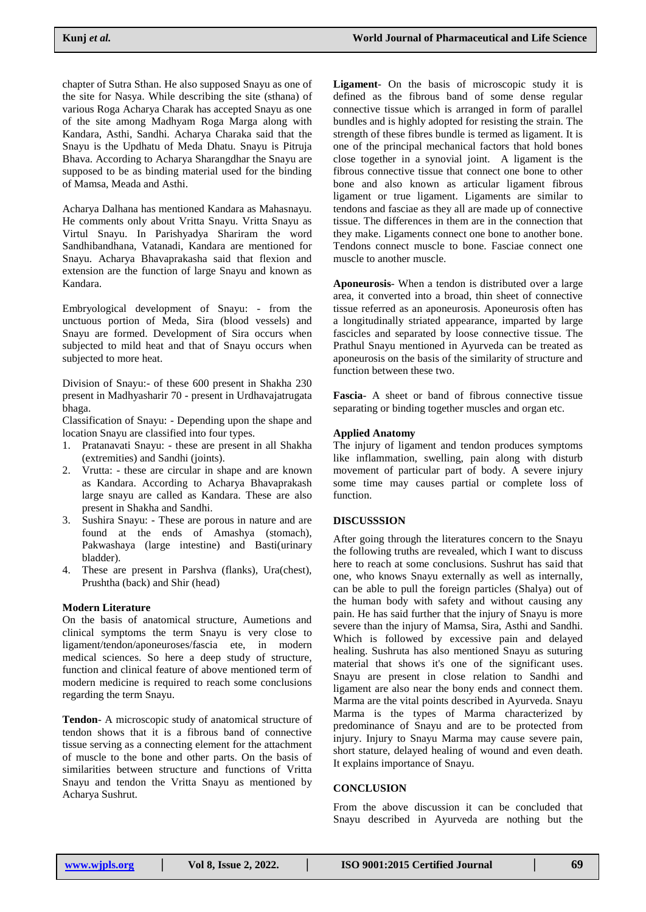chapter of Sutra Sthan. He also supposed Snayu as one of the site for Nasya. While describing the site (sthana) of various Roga Acharya Charak has accepted Snayu as one of the site among Madhyam Roga Marga along with Kandara, Asthi, Sandhi. Acharya Charaka said that the Snayu is the Updhatu of Meda Dhatu. Snayu is Pitruja Bhava. According to Acharya Sharangdhar the Snayu are supposed to be as binding material used for the binding of Mamsa, Meada and Asthi.

Acharya Dalhana has mentioned Kandara as Mahasnayu. He comments only about Vritta Snayu. Vritta Snayu as Virtul Snayu. In Parishyadya Shariram the word Sandhibandhana, Vatanadi, Kandara are mentioned for Snayu. Acharya Bhavaprakasha said that flexion and extension are the function of large Snayu and known as Kandara.

Embryological development of Snayu: - from the unctuous portion of Meda, Sira (blood vessels) and Snayu are formed. Development of Sira occurs when subjected to mild heat and that of Snayu occurs when subjected to more heat.

Division of Snayu:- of these 600 present in Shakha 230 present in Madhyasharir 70 - present in Urdhavajatrugata bhaga.

Classification of Snayu: - Depending upon the shape and location Snayu are classified into four types.

- 1. Pratanavati Snayu: these are present in all Shakha (extremities) and Sandhi (joints).
- 2. Vrutta: these are circular in shape and are known as Kandara. According to Acharya Bhavaprakash large snayu are called as Kandara. These are also present in Shakha and Sandhi.
- 3. Sushira Snayu: These are porous in nature and are found at the ends of Amashya (stomach), Pakwashaya (large intestine) and Basti(urinary bladder).
- 4. These are present in Parshva (flanks), Ura(chest), Prushtha (back) and Shir (head)

#### **Modern Literature**

On the basis of anatomical structure, Aumetions and clinical symptoms the term Snayu is very close to ligament/tendon/aponeuroses/fascia ete, in modern medical sciences. So here a deep study of structure, function and clinical feature of above mentioned term of modern medicine is required to reach some conclusions regarding the term Snayu.

**Tendon**- A microscopic study of anatomical structure of tendon shows that it is a fibrous band of connective tissue serving as a connecting element for the attachment of muscle to the bone and other parts. On the basis of similarities between structure and functions of Vritta Snayu and tendon the Vritta Snayu as mentioned by Acharya Sushrut.

**Ligament**- On the basis of microscopic study it is defined as the fibrous band of some dense regular connective tissue which is arranged in form of parallel bundles and is highly adopted for resisting the strain. The strength of these fibres bundle is termed as ligament. It is one of the principal mechanical factors that hold bones close together in a synovial joint. A ligament is the fibrous connective tissue that connect one bone to other bone and also known as articular ligament fibrous ligament or true ligament. Ligaments are similar to tendons and fasciae as they all are made up of connective tissue. The differences in them are in the connection that they make. Ligaments connect one bone to another bone. Tendons connect muscle to bone. Fasciae connect one muscle to another muscle.

**Aponeurosis**- When a tendon is distributed over a large area, it converted into a broad, thin sheet of connective tissue referred as an aponeurosis. Aponeurosis often has a longitudinally striated appearance, imparted by large fascicles and separated by loose connective tissue. The Prathul Snayu mentioned in Ayurveda can be treated as aponeurosis on the basis of the similarity of structure and function between these two.

**Fascia**- A sheet or band of fibrous connective tissue separating or binding together muscles and organ etc.

#### **Applied Anatomy**

The injury of ligament and tendon produces symptoms like inflammation, swelling, pain along with disturb movement of particular part of body. A severe injury some time may causes partial or complete loss of function.

#### **DISCUSSSION**

After going through the literatures concern to the Snayu the following truths are revealed, which I want to discuss here to reach at some conclusions. Sushrut has said that one, who knows Snayu externally as well as internally, can be able to pull the foreign particles (Shalya) out of the human body with safety and without causing any pain. He has said further that the injury of Snayu is more severe than the injury of Mamsa, Sira, Asthi and Sandhi. Which is followed by excessive pain and delayed healing. Sushruta has also mentioned Snayu as suturing material that shows it's one of the significant uses. Snayu are present in close relation to Sandhi and ligament are also near the bony ends and connect them. Marma are the vital points described in Ayurveda. Snayu Marma is the types of Marma characterized by predominance of Snayu and are to be protected from injury. Injury to Snayu Marma may cause severe pain, short stature, delayed healing of wound and even death. It explains importance of Snayu.

#### **CONCLUSION**

From the above discussion it can be concluded that Snayu described in Ayurveda are nothing but the